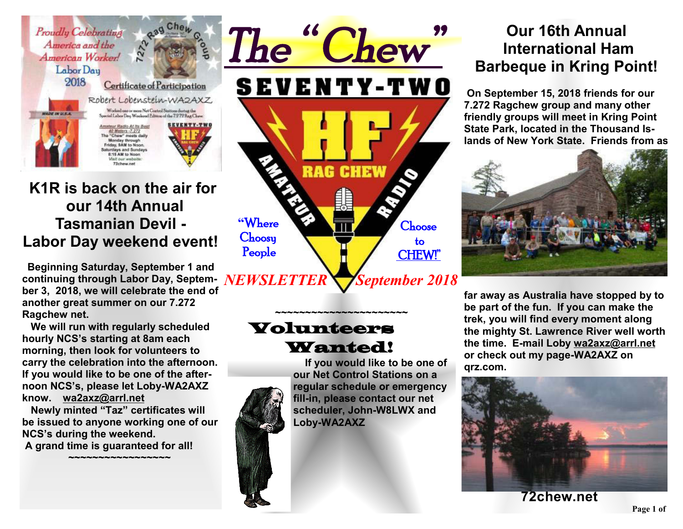

## **K1R is back on the air for our 14th Annual Tasmanian Devil - Labor Day weekend event!**

 **Beginning Saturday, September 1 and continuing through Labor Day, Septem-***NEWSLETTER* **ber 3, 2018, we will celebrate the end of another great summer on our 7.272 Ragchew net.** 

 **We will run with regularly scheduled hourly NCS's starting at 8am each morning, then look for volunteers to carry the celebration into the afternoon. If you would like to be one of the afternoon NCS's, please let Loby-WA2AXZ know. wa2axz@arrl.net** 

 **Newly minted "Taz" certificates will be issued to anyone working one of our NCS's during the weekend. A grand time is guaranteed for all!** 

 **~~~~~~~~~~~~~~~~~~~** 



## Volunteers Wanted!

**~~~~~~~~~~~~~~~~~~~~~~** 

 **If you would like to be one of our Net Control Stations on a regular schedule or emergency fill-in, please contact our net scheduler, John-W8LWX and Loby-WA2AXZ** 

# **Our 16th Annual International Ham Barbeque in Kring Point!**

 **On September 15, 2018 friends for our 7.272 Ragchew group and many other friendly groups will meet in Kring Point State Park, located in the Thousand Islands of New York State. Friends from as** 



**far away as Australia have stopped by to be part of the fun. If you can make the trek, you will find every moment along the mighty St. Lawrence River well worth the time. E-mail Loby wa2axz@arrl.net or check out my page-WA2AXZ on qrz.com.** 



**72chew.net**

#### **Page 1 of 2**